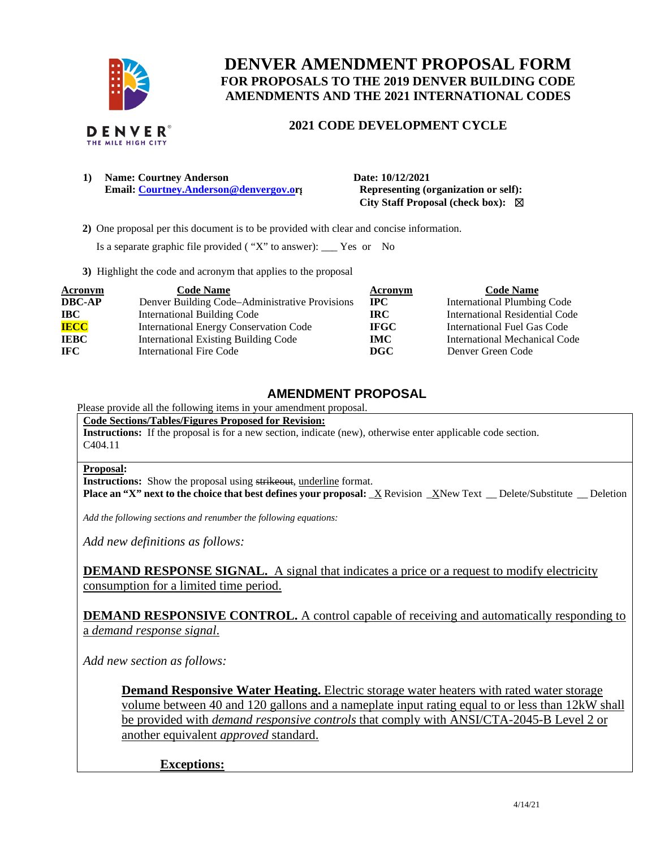

# **DENVER AMENDMENT PROPOSAL FORM FOR PROPOSALS TO THE 2019 DENVER BUILDING CODE AMENDMENTS AND THE 2021 INTERNATIONAL CODES**

# **2021 CODE DEVELOPMENT CYCLE**

**1) Name: Courtney Anderson Date: 10/12/2021 Email:** [Courtney.Anderson@denvergov.or](mailto:Courtney.Anderson@denvergov.o)**g** Representing (organization or self):

 **City Staff Proposal (check box):** ☒

 **2)** One proposal per this document is to be provided with clear and concise information.

Is a separate graphic file provided ( "X" to answer): \_\_\_ Yes or No

**3)** Highlight the code and acronym that applies to the proposal

| <b>Acronym</b> | <b>Code Name</b>                               | Acronym     | <b>Code Name</b>                   |
|----------------|------------------------------------------------|-------------|------------------------------------|
| <b>DBC-AP</b>  | Denver Building Code-Administrative Provisions | $\bf{IPC}$  | <b>International Plumbing Code</b> |
| $\bf IBC$      | <b>International Building Code</b>             | IRC-        | International Residential Code     |
| <b>IECC</b>    | <b>International Energy Conservation Code</b>  | <b>IFGC</b> | International Fuel Gas Code        |
| <b>IEBC</b>    | <b>International Existing Building Code</b>    | IMC.        | International Mechanical Code      |
| <b>IFC</b>     | <b>International Fire Code</b>                 | DGC         | Denver Green Code                  |

# **AMENDMENT PROPOSAL**

Please provide all the following items in your amendment proposal.

**Code Sections/Tables/Figures Proposed for Revision:** 

**Instructions:** If the proposal is for a new section, indicate (new), otherwise enter applicable code section. C404.11

#### **Proposal:**

**Instructions:** Show the proposal using strikeout, underline format.

**Place an "X" next to the choice that best defines your proposal:**  $\overline{X}$  Revision  $\overline{X}$ New Text  $\overline{X}$  Delete/Substitute  $\overline{X}$  Deletion

*Add the following sections and renumber the following equations:* 

*Add new definitions as follows:* 

**DEMAND RESPONSE SIGNAL.** A signal that indicates a price or a request to modify electricity consumption for a limited time period.

**DEMAND RESPONSIVE CONTROL.** A control capable of receiving and automatically responding to a *demand response signal*.

*Add new section as follows:* 

**Demand Responsive Water Heating.** Electric storage water heaters with rated water storage volume between 40 and 120 gallons and a nameplate input rating equal to or less than 12kW shall be provided with *demand responsive controls* that comply with ANSI/CTA-2045-B Level 2 or another equivalent *approved* standard.

## **Exceptions:**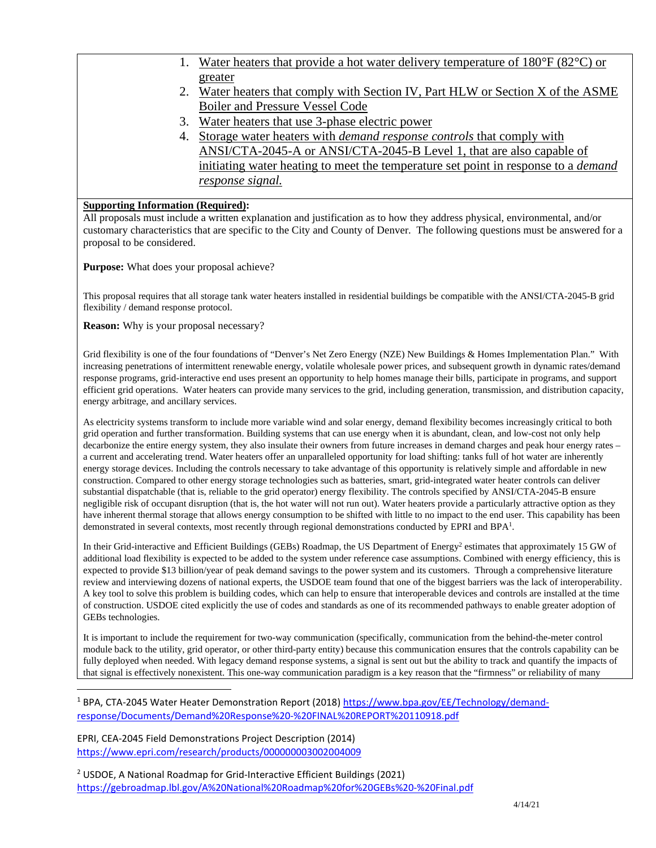- 1. Water heaters that provide a hot water delivery temperature of  $180^{\circ}$ F (82 $^{\circ}$ C) or greater
- 2. Water heaters that comply with Section IV, Part HLW or Section X of the ASME Boiler and Pressure Vessel Code
- 3. Water heaters that use 3-phase electric power
- 4. Storage water heaters with *demand response controls* that comply with ANSI/CTA-2045-A or ANSI/CTA-2045-B Level 1, that are also capable of initiating water heating to meet the temperature set point in response to a *demand response signal.*

## **Supporting Information (Required):**

All proposals must include a written explanation and justification as to how they address physical, environmental, and/or customary characteristics that are specific to the City and County of Denver. The following questions must be answered for a proposal to be considered.

**Purpose:** What does your proposal achieve?

This proposal requires that all storage tank water heaters installed in residential buildings be compatible with the ANSI/CTA-2045-B grid flexibility / demand response protocol.

**Reason:** Why is your proposal necessary?

Grid flexibility is one of the four foundations of "Denver's Net Zero Energy (NZE) New Buildings & Homes Implementation Plan." With increasing penetrations of intermittent renewable energy, volatile wholesale power prices, and subsequent growth in dynamic rates/demand response programs, grid-interactive end uses present an opportunity to help homes manage their bills, participate in programs, and support efficient grid operations. Water heaters can provide many services to the grid, including generation, transmission, and distribution capacity, energy arbitrage, and ancillary services.

As electricity systems transform to include more variable wind and solar energy, demand flexibility becomes increasingly critical to both grid operation and further transformation. Building systems that can use energy when it is abundant, clean, and low-cost not only help decarbonize the entire energy system, they also insulate their owners from future increases in demand charges and peak hour energy rates – a current and accelerating trend. Water heaters offer an unparalleled opportunity for load shifting: tanks full of hot water are inherently energy storage devices. Including the controls necessary to take advantage of this opportunity is relatively simple and affordable in new construction. Compared to other energy storage technologies such as batteries, smart, grid-integrated water heater controls can deliver substantial dispatchable (that is, reliable to the grid operator) energy flexibility. The controls specified by ANSI/CTA-2045-B ensure negligible risk of occupant disruption (that is, the hot water will not run out). Water heaters provide a particularly attractive option as they have inherent thermal storage that allows energy consumption to be shifted with little to no impact to the end user. This capability has been demonstrated in several contexts, most recently through regional demonstrations conducted by EPRI and BPA<sup>1</sup>.

In their Grid-interactive and Efficient Buildings (GEBs) Roadmap, the US Department of Energy<sup>2</sup> estimates that approximately 15 GW of additional load flexibility is expected to be added to the system under reference case assumptions. Combined with energy efficiency, this is expected to provide \$13 billion/year of peak demand savings to the power system and its customers. Through a comprehensive literature review and interviewing dozens of national experts, the USDOE team found that one of the biggest barriers was the lack of interoperability. A key tool to solve this problem is building codes, which can help to ensure that interoperable devices and controls are installed at the time of construction. USDOE cited explicitly the use of codes and standards as one of its recommended pathways to enable greater adoption of GEBs technologies.

It is important to include the requirement for two-way communication (specifically, communication from the behind-the-meter control module back to the utility, grid operator, or other third-party entity) because this communication ensures that the controls capability can be fully deployed when needed. With legacy demand response systems, a signal is sent out but the ability to track and quantify the impacts of that signal is effectively nonexistent. This one-way communication paradigm is a key reason that the "firmness" or reliability of many

EPRI, CEA-2045 Field Demonstrations Project Description (2014) <https://www.epri.com/research/products/000000003002004009>

<sup>2</sup> USDOE, A National Roadmap for Grid-Interactive Efficient Buildings (2021) <https://gebroadmap.lbl.gov/A%20National%20Roadmap%20for%20GEBs%20-%20Final.pdf>

<sup>&</sup>lt;sup>1</sup> BPA, CTA-2045 Water Heater Demonstration Report (2018) [https://www.bpa.gov/EE/Technology/demand](https://www.bpa.gov/EE/Technology/demand-response/Documents/Demand%20Response%20-%20FINAL%20REPORT%20110918.pdf)[response/Documents/Demand%20Response%20-%20FINAL%20REPORT%20110918.pdf](https://www.bpa.gov/EE/Technology/demand-response/Documents/Demand%20Response%20-%20FINAL%20REPORT%20110918.pdf)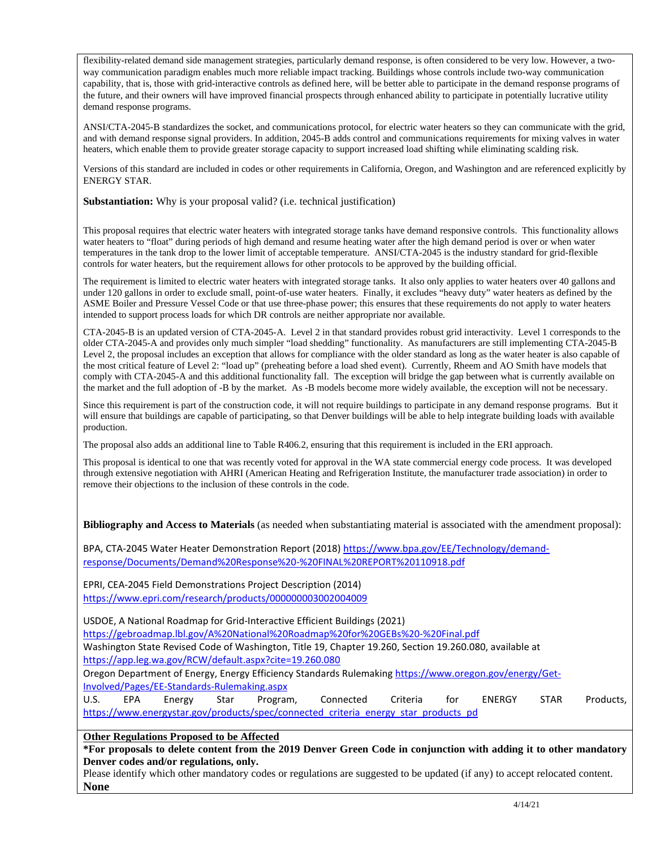flexibility-related demand side management strategies, particularly demand response, is often considered to be very low. However, a twoway communication paradigm enables much more reliable impact tracking. Buildings whose controls include two-way communication capability, that is, those with grid-interactive controls as defined here, will be better able to participate in the demand response programs of the future, and their owners will have improved financial prospects through enhanced ability to participate in potentially lucrative utility demand response programs.

ANSI/CTA-2045-B standardizes the socket, and communications protocol, for electric water heaters so they can communicate with the grid, and with demand response signal providers. In addition, 2045-B adds control and communications requirements for mixing valves in water heaters, which enable them to provide greater storage capacity to support increased load shifting while eliminating scalding risk.

Versions of this standard are included in codes or other requirements in California, Oregon, and Washington and are referenced explicitly by ENERGY STAR.

**Substantiation:** Why is your proposal valid? (i.e. technical justification)

This proposal requires that electric water heaters with integrated storage tanks have demand responsive controls. This functionality allows water heaters to "float" during periods of high demand and resume heating water after the high demand period is over or when water temperatures in the tank drop to the lower limit of acceptable temperature. ANSI/CTA-2045 is the industry standard for grid-flexible controls for water heaters, but the requirement allows for other protocols to be approved by the building official.

The requirement is limited to electric water heaters with integrated storage tanks. It also only applies to water heaters over 40 gallons and under 120 gallons in order to exclude small, point-of-use water heaters. Finally, it excludes "heavy duty" water heaters as defined by the ASME Boiler and Pressure Vessel Code or that use three-phase power; this ensures that these requirements do not apply to water heaters intended to support process loads for which DR controls are neither appropriate nor available.

CTA-2045-B is an updated version of CTA-2045-A. Level 2 in that standard provides robust grid interactivity. Level 1 corresponds to the older CTA-2045-A and provides only much simpler "load shedding" functionality. As manufacturers are still implementing CTA-2045-B Level 2, the proposal includes an exception that allows for compliance with the older standard as long as the water heater is also capable of the most critical feature of Level 2: "load up" (preheating before a load shed event). Currently, Rheem and AO Smith have models that comply with CTA-2045-A and this additional functionality fall. The exception will bridge the gap between what is currently available on the market and the full adoption of -B by the market. As -B models become more widely available, the exception will not be necessary.

Since this requirement is part of the construction code, it will not require buildings to participate in any demand response programs. But it will ensure that buildings are capable of participating, so that Denver buildings will be able to help integrate building loads with available production.

The proposal also adds an additional line to Table R406.2, ensuring that this requirement is included in the ERI approach.

This proposal is identical to one that was recently voted for approval in the WA state commercial energy code process. It was developed through extensive negotiation with AHRI (American Heating and Refrigeration Institute, the manufacturer trade association) in order to remove their objections to the inclusion of these controls in the code.

**Bibliography and Access to Materials** (as needed when substantiating material is associated with the amendment proposal):

BPA, CTA-2045 Water Heater Demonstration Report (2018[\) https://www.bpa.gov/EE/Technology/demand](https://www.bpa.gov/EE/Technology/demand-response/Documents/Demand%20Response%20-%20FINAL%20REPORT%20110918.pdf)[response/Documents/Demand%20Response%20-%20FINAL%20REPORT%20110918.pdf](https://www.bpa.gov/EE/Technology/demand-response/Documents/Demand%20Response%20-%20FINAL%20REPORT%20110918.pdf) 

EPRI, CEA-2045 Field Demonstrations Project Description (2014)

<https://www.epri.com/research/products/000000003002004009>

USDOE, A National Roadmap for Grid-Interactive Efficient Buildings (2021)

<https://gebroadmap.lbl.gov/A%20National%20Roadmap%20for%20GEBs%20-%20Final.pdf>

Washington State Revised Code of Washington, Title 19, Chapter 19.260, Section 19.260.080, available at <https://app.leg.wa.gov/RCW/default.aspx?cite=19.260.080>

Oregon Department of Energy, Energy Efficiency Standards Rulemaking [https://www.oregon.gov/energy/Get-](https://www.oregon.gov/energy/Get-Involved/Pages/EE-Standards-Rulemaking.aspx)[Involved/Pages/EE-Standards-Rulemaking.aspx](https://www.oregon.gov/energy/Get-Involved/Pages/EE-Standards-Rulemaking.aspx) 

U.S. EPA Energy Star Program, Connected Criteria for ENERGY STAR Products, [https://www.energystar.gov/products/spec/connected\\_criteria\\_energy\\_star\\_products\\_pd](https://www.energystar.gov/products/spec/connected_criteria_energy_star_products_pd)

**Other Regulations Proposed to be Affected** 

**\*For proposals to delete content from the 2019 Denver Green Code in conjunction with adding it to other mandatory Denver codes and/or regulations, only.**

Please identify which other mandatory codes or regulations are suggested to be updated (if any) to accept relocated content. **None**